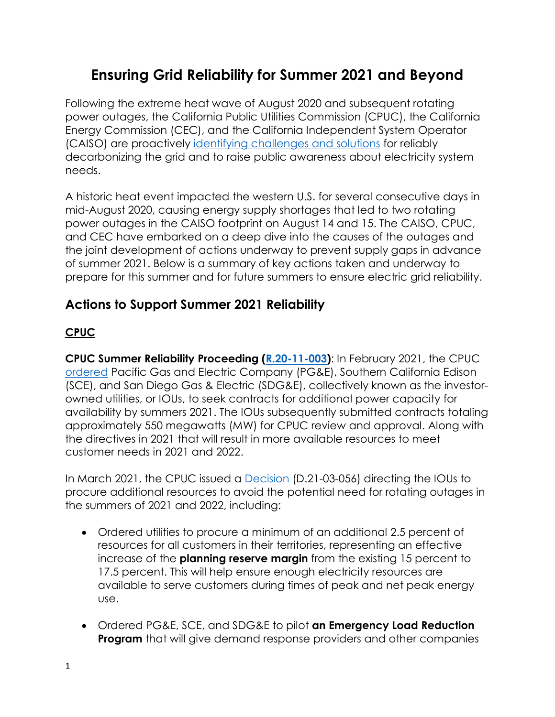# **Ensuring Grid Reliability for Summer 2021 and Beyond**

Following the extreme heat wave of August 2020 and subsequent rotating power outages, the California Public Utilities Commission (CPUC), the California Energy Commission (CEC), and the California Independent System Operator (CAISO) are proactively [identifying challenges and solutions](https://www.cpuc.ca.gov/uploadedFiles/CPUC_Public_Website/Content/Utilities_and_Industries/Energy_-_Electricity_and_Natural_Gas/Final_Root_Cause_Analysis_MidAugust_2020_ExtremeHeatWave.pdf) for reliably decarbonizing the grid and to raise public awareness about electricity system needs.

A historic heat event impacted the western U.S. for several consecutive days in mid-August 2020, causing energy supply shortages that led to two rotating power outages in the CAISO footprint on August 14 and 15. The CAISO, CPUC, and CEC have embarked on a deep dive into the causes of the outages and the joint development of actions underway to prevent supply gaps in advance of summer 2021. Below is a summary of key actions taken and underway to prepare for this summer and for future summers to ensure electric grid reliability.

# **Actions to Support Summer 2021 Reliability**

#### **CPUC**

**CPUC Summer Reliability Proceeding [\(R.20-11-003\)](https://apps.cpuc.ca.gov/apex/f?p=401:56:0::NO:RP,57,RIR:P5_PROCEEDING_SELECT:R2011003)**: In February 2021, the CPUC [ordered](https://docs.cpuc.ca.gov/PublishedDocs/Published/G000/M365/K316/365316629.PDF) Pacific Gas and Electric Company (PG&E), Southern California Edison (SCE), and San Diego Gas & Electric (SDG&E), collectively known as the investorowned utilities, or IOUs, to seek contracts for additional power capacity for availability by summers 2021. The IOUs subsequently submitted contracts totaling approximately 550 megawatts (MW) for CPUC review and approval. Along with the directives in 2021 that will result in more available resources to meet customer needs in 2021 and 2022.

In March 2021, the CPUC issued a [Decision](https://docs.cpuc.ca.gov/PublishedDocs/Published/G000/M373/K756/373756889.PDF) (D.21-03-056) directing the IOUs to procure additional resources to avoid the potential need for rotating outages in the summers of 2021 and 2022, including:

- Ordered utilities to procure a minimum of an additional 2.5 percent of resources for all customers in their territories, representing an effective increase of the **planning reserve margin** from the existing 15 percent to 17.5 percent. This will help ensure enough electricity resources are available to serve customers during times of peak and net peak energy use.
- Ordered PG&E, SCE, and SDG&E to pilot **an Emergency Load Reduction Program** that will give demand response providers and other companies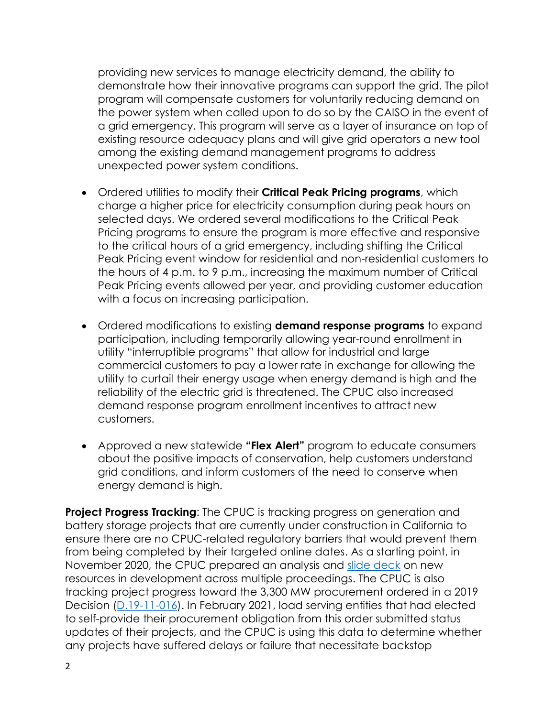providing new services to manage electricity demand, the ability to demonstrate how their innovative programs can support the grid. The pilot program will compensate customers for voluntarily reducing demand on the power system when called upon to do so by the CAISO in the event of a grid emergency. This program will serve as a layer of insurance on top of existing resource adequacy plans and will give grid operators a new tool among the existing demand management programs to address unexpected power system conditions.

- Ordered utilities to modify their **Critical Peak Pricing programs**, which charge a higher price for electricity consumption during peak hours on selected days. We ordered several modifications to the Critical Peak Pricing programs to ensure the program is more effective and responsive to the critical hours of a grid emergency, including shifting the Critical Peak Pricing event window for residential and non-residential customers to the hours of 4 p.m. to 9 p.m., increasing the maximum number of Critical Peak Pricing events allowed per year, and providing customer education with a focus on increasing participation.
- Ordered modifications to existing **demand response programs** to expand participation, including temporarily allowing year-round enrollment in utility "interruptible programs" that allow for industrial and large commercial customers to pay a lower rate in exchange for allowing the utility to curtail their energy usage when energy demand is high and the reliability of the electric grid is threatened. The CPUC also increased demand response program enrollment incentives to attract new customers.
- Approved a new statewide **"Flex Alert"** program to educate consumers about the positive impacts of conservation, help customers understand grid conditions, and inform customers of the need to conserve when energy demand is high.

**Project Progress Tracking:** The CPUC is tracking progress on generation and battery storage projects that are currently under construction in California to ensure there are no CPUC-related regulatory barriers that would prevent them from being completed by their targeted online dates. As a starting point, in November 2020, the CPUC prepared an analysis and [slide deck](https://www.cpuc.ca.gov/WorkArea/DownloadAsset.aspx?id=6442466860) on new resources in development across multiple proceedings. The CPUC is also tracking project progress toward the 3,300 MW procurement ordered in a 2019 Decision [\(D.19-11-016\)](https://docs.cpuc.ca.gov/PublishedDocs/Published/G000/M319/K825/319825388.PDF). In February 2021, load serving entities that had elected to self-provide their procurement obligation from this order submitted status updates of their projects, and the CPUC is using this data to determine whether any projects have suffered delays or failure that necessitate backstop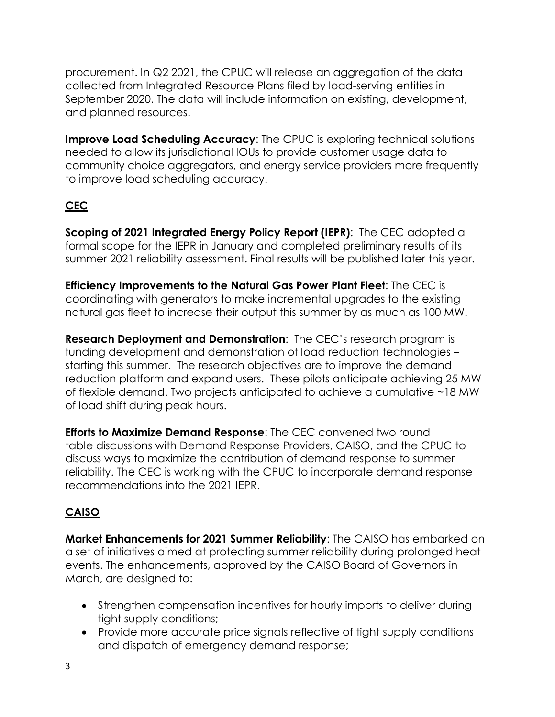procurement. In Q2 2021, the CPUC will release an aggregation of the data collected from Integrated Resource Plans filed by load-serving entities in September 2020. The data will include information on existing, development, and planned resources.

**Improve Load Scheduling Accuracy**: The CPUC is exploring technical solutions needed to allow its jurisdictional IOUs to provide customer usage data to community choice aggregators, and energy service providers more frequently to improve load scheduling accuracy.

# **CEC**

**Scoping of 2021 Integrated Energy Policy Report (IEPR)**: The CEC adopted a formal scope for the IEPR in January and completed preliminary results of its summer 2021 reliability assessment. Final results will be published later this year.

**Efficiency Improvements to the Natural Gas Power Plant Fleet**: The CEC is coordinating with generators to make incremental upgrades to the existing natural gas fleet to increase their output this summer by as much as 100 MW.

**Research Deployment and Demonstration**: The CEC's research program is funding development and demonstration of load reduction technologies – starting this summer. The research objectives are to improve the demand reduction platform and expand users. These pilots anticipate achieving 25 MW of flexible demand. Two projects anticipated to achieve a cumulative ~18 MW of load shift during peak hours.

**Efforts to Maximize Demand Response**: The CEC convened two round table discussions with Demand Response Providers, CAISO, and the CPUC to discuss ways to maximize the contribution of demand response to summer reliability. The CEC is working with the CPUC to incorporate demand response recommendations into the 2021 IEPR.

#### **CAISO**

**Market Enhancements for 2021 Summer Reliability**: The CAISO has embarked on a set of initiatives aimed at protecting summer reliability during prolonged heat events. The enhancements, approved by the CAISO Board of Governors in March, are designed to:

- Strengthen compensation incentives for hourly imports to deliver during tight supply conditions;
- Provide more accurate price signals reflective of tight supply conditions and dispatch of emergency demand response;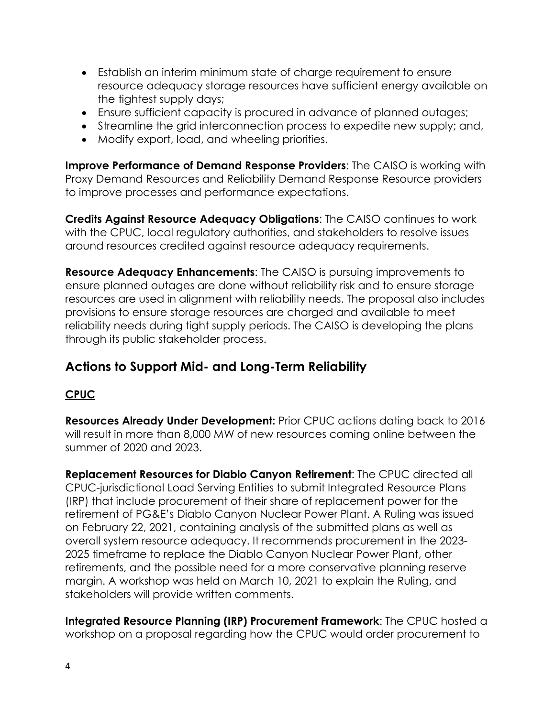- Establish an interim minimum state of charge requirement to ensure resource adequacy storage resources have sufficient energy available on the tightest supply days;
- Ensure sufficient capacity is procured in advance of planned outages;
- Streamline the grid interconnection process to expedite new supply; and,
- Modify export, load, and wheeling priorities.

**Improve Performance of Demand Response Providers**: The CAISO is working with Proxy Demand Resources and Reliability Demand Response Resource providers to improve processes and performance expectations.

**Credits Against Resource Adequacy Obligations**: The CAISO continues to work with the CPUC, local regulatory authorities, and stakeholders to resolve issues around resources credited against resource adequacy requirements.

**Resource Adequacy Enhancements**: The CAISO is pursuing improvements to ensure planned outages are done without reliability risk and to ensure storage resources are used in alignment with reliability needs. The proposal also includes provisions to ensure storage resources are charged and available to meet reliability needs during tight supply periods. The CAISO is developing the plans through its public stakeholder process.

# **Actions to Support Mid- and Long-Term Reliability**

#### **CPUC**

**Resources Already Under Development:** Prior CPUC actions dating back to 2016 will result in more than 8,000 MW of new resources coming online between the summer of 2020 and 2023.

**Replacement Resources for Diablo Canyon Retirement**: The CPUC directed all CPUC-jurisdictional Load Serving Entities to submit Integrated Resource Plans (IRP) that include procurement of their share of replacement power for the retirement of PG&E's Diablo Canyon Nuclear Power Plant. A Ruling was issued on February 22, 2021, containing analysis of the submitted plans as well as overall system resource adequacy. It recommends procurement in the 2023- 2025 timeframe to replace the Diablo Canyon Nuclear Power Plant, other retirements, and the possible need for a more conservative planning reserve margin. A workshop was held on March 10, 2021 to explain the Ruling, and stakeholders will provide written comments.

**Integrated Resource Planning (IRP) Procurement Framework**: The CPUC hosted a workshop on a proposal regarding how the CPUC would order procurement to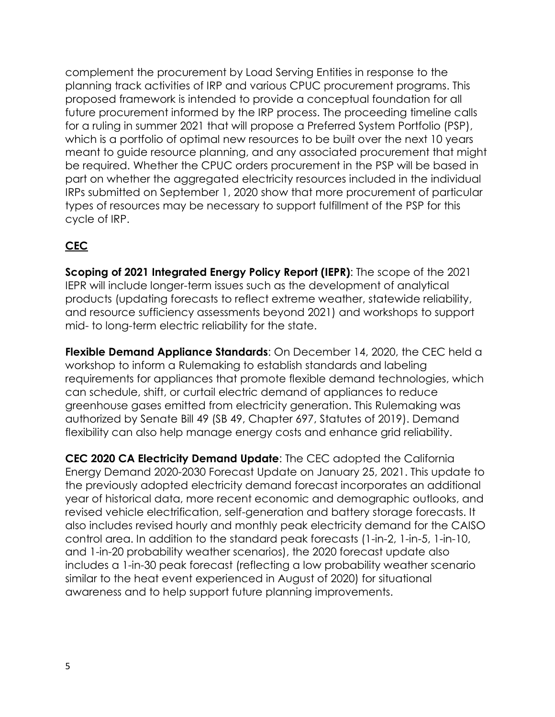complement the procurement by Load Serving Entities in response to the planning track activities of IRP and various CPUC procurement programs. This proposed framework is intended to provide a conceptual foundation for all future procurement informed by the IRP process. The proceeding timeline calls for a ruling in summer 2021 that will propose a Preferred System Portfolio (PSP), which is a portfolio of optimal new resources to be built over the next 10 years meant to guide resource planning, and any associated procurement that might be required. Whether the CPUC orders procurement in the PSP will be based in part on whether the aggregated electricity resources included in the individual IRPs submitted on September 1, 2020 show that more procurement of particular types of resources may be necessary to support fulfillment of the PSP for this cycle of IRP.

### **CEC**

**Scoping of 2021 Integrated Energy Policy Report (IEPR)**: The scope of the 2021 IEPR will include longer-term issues such as the development of analytical products (updating forecasts to reflect extreme weather, statewide reliability, and resource sufficiency assessments beyond 2021) and workshops to support mid- to long-term electric reliability for the state.

**Flexible Demand Appliance Standards**: On December 14, 2020, the CEC held a workshop to inform a Rulemaking to establish standards and labeling requirements for appliances that promote flexible demand technologies, which can schedule, shift, or curtail electric demand of appliances to reduce greenhouse gases emitted from electricity generation. This Rulemaking was authorized by Senate Bill 49 (SB 49, Chapter 697, Statutes of 2019). Demand flexibility can also help manage energy costs and enhance grid reliability.

**CEC 2020 CA Electricity Demand Update**: The CEC adopted the California Energy Demand 2020-2030 Forecast Update on January 25, 2021. This update to the previously adopted electricity demand forecast incorporates an additional year of historical data, more recent economic and demographic outlooks, and revised vehicle electrification, self-generation and battery storage forecasts. It also includes revised hourly and monthly peak electricity demand for the CAISO control area. In addition to the standard peak forecasts (1-in-2, 1-in-5, 1-in-10, and 1-in-20 probability weather scenarios), the 2020 forecast update also includes a 1-in-30 peak forecast (reflecting a low probability weather scenario similar to the heat event experienced in August of 2020) for situational awareness and to help support future planning improvements.